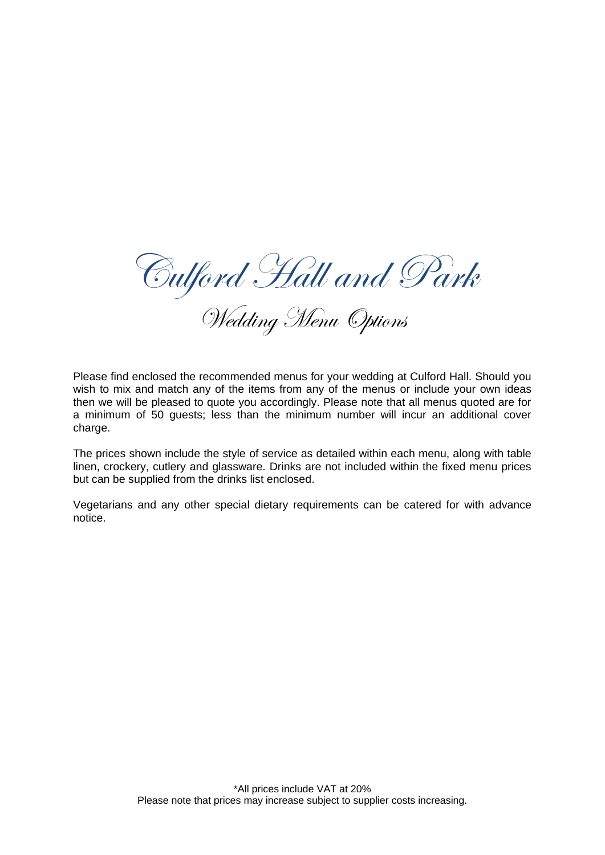Culford Hall and Park

Wedding Menu Options

Please find enclosed the recommended menus for your wedding at Culford Hall. Should you wish to mix and match any of the items from any of the menus or include your own ideas then we will be pleased to quote you accordingly. Please note that all menus quoted are for a minimum of 50 guests; less than the minimum number will incur an additional cover charge.

The prices shown include the style of service as detailed within each menu, along with table linen, crockery, cutlery and glassware. Drinks are not included within the fixed menu prices but can be supplied from the drinks list enclosed.

Vegetarians and any other special dietary requirements can be catered for with advance notice.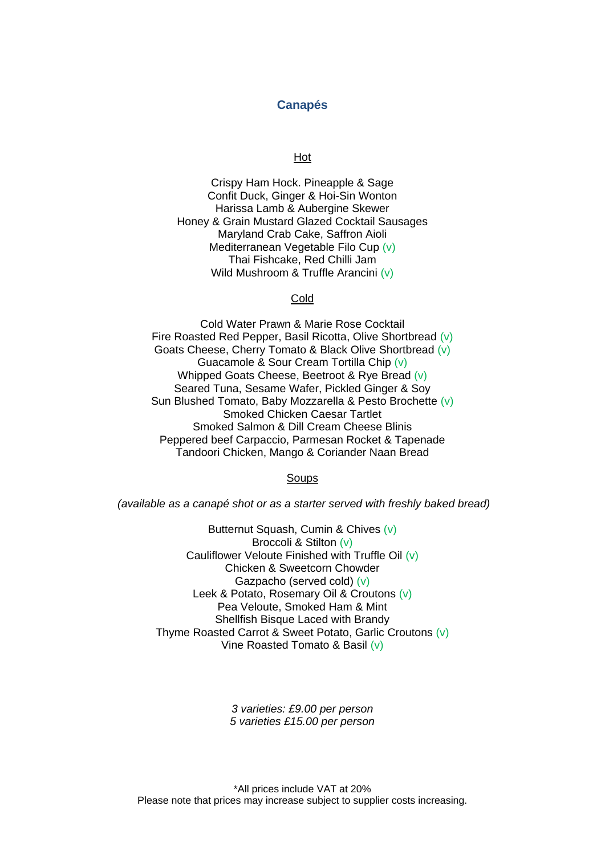## **Canapés**

Hot

Crispy Ham Hock. Pineapple & Sage Confit Duck, Ginger & Hoi-Sin Wonton Harissa Lamb & Aubergine Skewer Honey & Grain Mustard Glazed Cocktail Sausages Maryland Crab Cake, Saffron Aioli Mediterranean Vegetable Filo Cup (v) Thai Fishcake, Red Chilli Jam Wild Mushroom & Truffle Arancini (v)

### Cold

Cold Water Prawn & Marie Rose Cocktail Fire Roasted Red Pepper, Basil Ricotta, Olive Shortbread (v) Goats Cheese, Cherry Tomato & Black Olive Shortbread (v) Guacamole & Sour Cream Tortilla Chip (v) Whipped Goats Cheese, Beetroot & Rye Bread (v) Seared Tuna, Sesame Wafer, Pickled Ginger & Soy Sun Blushed Tomato, Baby Mozzarella & Pesto Brochette (v) Smoked Chicken Caesar Tartlet Smoked Salmon & Dill Cream Cheese Blinis Peppered beef Carpaccio, Parmesan Rocket & Tapenade Tandoori Chicken, Mango & Coriander Naan Bread

#### Soups

*(available as a canapé shot or as a starter served with freshly baked bread)*

Butternut Squash, Cumin & Chives (v) Broccoli & Stilton (v) Cauliflower Veloute Finished with Truffle Oil (v) Chicken & Sweetcorn Chowder Gazpacho (served cold) (v) Leek & Potato, Rosemary Oil & Croutons (v) Pea Veloute, Smoked Ham & Mint Shellfish Bisque Laced with Brandy Thyme Roasted Carrot & Sweet Potato, Garlic Croutons (v) Vine Roasted Tomato & Basil (v)

> *3 varieties: £9.00 per person 5 varieties £15.00 per person*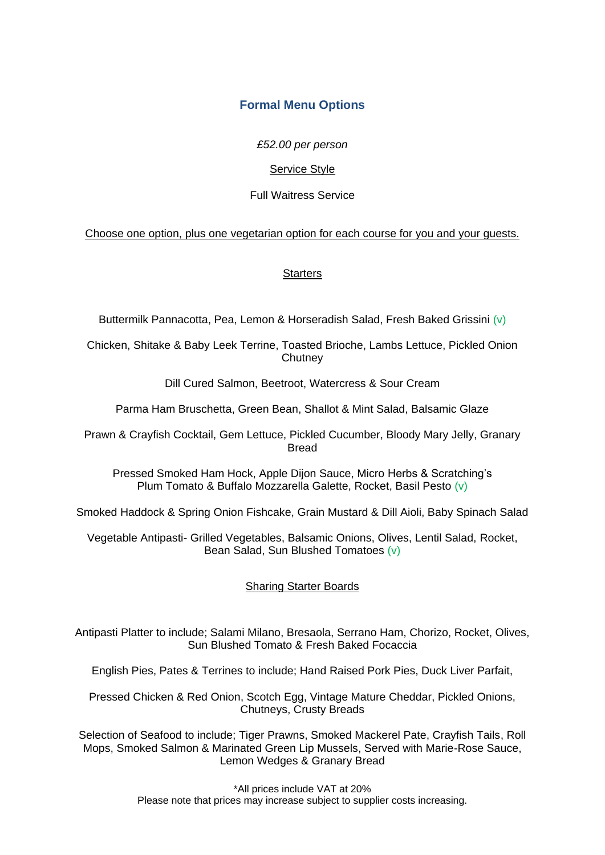# **Formal Menu Options**

*£52.00 per person*

## Service Style

# Full Waitress Service

# Choose one option, plus one vegetarian option for each course for you and your guests.

# **Starters**

Buttermilk Pannacotta, Pea, Lemon & Horseradish Salad, Fresh Baked Grissini (v)

Chicken, Shitake & Baby Leek Terrine, Toasted Brioche, Lambs Lettuce, Pickled Onion **Chutney** 

Dill Cured Salmon, Beetroot, Watercress & Sour Cream

Parma Ham Bruschetta, Green Bean, Shallot & Mint Salad, Balsamic Glaze

Prawn & Crayfish Cocktail, Gem Lettuce, Pickled Cucumber, Bloody Mary Jelly, Granary Bread

Pressed Smoked Ham Hock, Apple Dijon Sauce, Micro Herbs & Scratching's Plum Tomato & Buffalo Mozzarella Galette, Rocket, Basil Pesto (v)

Smoked Haddock & Spring Onion Fishcake, Grain Mustard & Dill Aioli, Baby Spinach Salad

Vegetable Antipasti- Grilled Vegetables, Balsamic Onions, Olives, Lentil Salad, Rocket, Bean Salad, Sun Blushed Tomatoes (v)

# Sharing Starter Boards

Antipasti Platter to include; Salami Milano, Bresaola, Serrano Ham, Chorizo, Rocket, Olives, Sun Blushed Tomato & Fresh Baked Focaccia

English Pies, Pates & Terrines to include; Hand Raised Pork Pies, Duck Liver Parfait,

Pressed Chicken & Red Onion, Scotch Egg, Vintage Mature Cheddar, Pickled Onions, Chutneys, Crusty Breads

Selection of Seafood to include; Tiger Prawns, Smoked Mackerel Pate, Crayfish Tails, Roll Mops, Smoked Salmon & Marinated Green Lip Mussels, Served with Marie-Rose Sauce, Lemon Wedges & Granary Bread

> \*All prices include VAT at 20% Please note that prices may increase subject to supplier costs increasing.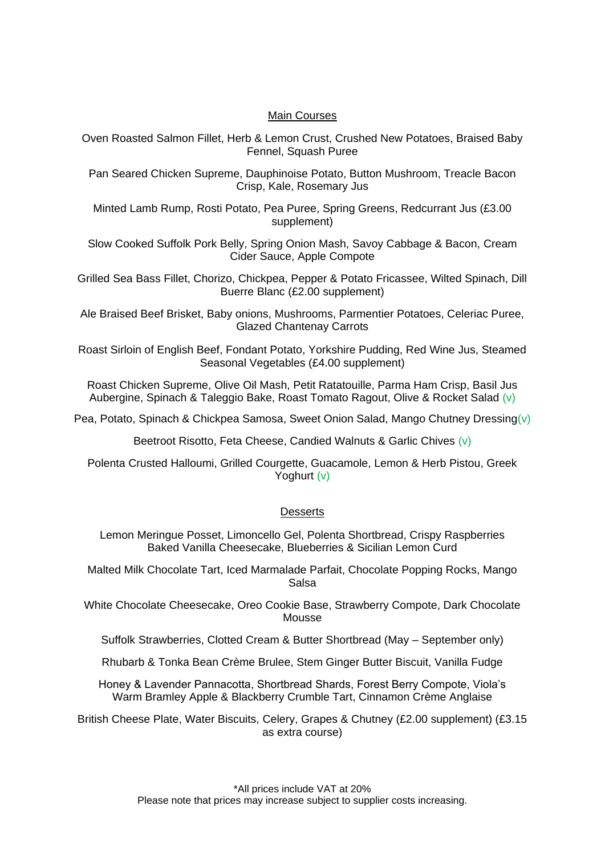## Main Courses

Oven Roasted Salmon Fillet, Herb & Lemon Crust, Crushed New Potatoes, Braised Baby Fennel, Squash Puree

Pan Seared Chicken Supreme, Dauphinoise Potato, Button Mushroom, Treacle Bacon Crisp, Kale, Rosemary Jus

Minted Lamb Rump, Rosti Potato, Pea Puree, Spring Greens, Redcurrant Jus (£3.00 supplement)

Slow Cooked Suffolk Pork Belly, Spring Onion Mash, Savoy Cabbage & Bacon, Cream Cider Sauce, Apple Compote

Grilled Sea Bass Fillet, Chorizo, Chickpea, Pepper & Potato Fricassee, Wilted Spinach, Dill Buerre Blanc (£2.00 supplement)

Ale Braised Beef Brisket, Baby onions, Mushrooms, Parmentier Potatoes, Celeriac Puree, Glazed Chantenay Carrots

Roast Sirloin of English Beef, Fondant Potato, Yorkshire Pudding, Red Wine Jus, Steamed Seasonal Vegetables (£4.00 supplement)

Roast Chicken Supreme, Olive Oil Mash, Petit Ratatouille, Parma Ham Crisp, Basil Jus Aubergine, Spinach & Taleggio Bake, Roast Tomato Ragout, Olive & Rocket Salad (v)

Pea, Potato, Spinach & Chickpea Samosa, Sweet Onion Salad, Mango Chutney Dressing(v)

Beetroot Risotto, Feta Cheese, Candied Walnuts & Garlic Chives (v)

Polenta Crusted Halloumi, Grilled Courgette, Guacamole, Lemon & Herb Pistou, Greek Yoghurt (v)

### **Desserts**

Lemon Meringue Posset, Limoncello Gel, Polenta Shortbread, Crispy Raspberries Baked Vanilla Cheesecake, Blueberries & Sicilian Lemon Curd

Malted Milk Chocolate Tart, Iced Marmalade Parfait, Chocolate Popping Rocks, Mango Salsa

White Chocolate Cheesecake, Oreo Cookie Base, Strawberry Compote, Dark Chocolate Mousse

Suffolk Strawberries, Clotted Cream & Butter Shortbread (May – September only)

Rhubarb & Tonka Bean Crème Brulee, Stem Ginger Butter Biscuit, Vanilla Fudge

Honey & Lavender Pannacotta, Shortbread Shards, Forest Berry Compote, Viola's Warm Bramley Apple & Blackberry Crumble Tart, Cinnamon Crème Anglaise

British Cheese Plate, Water Biscuits, Celery, Grapes & Chutney (£2.00 supplement) (£3.15 as extra course)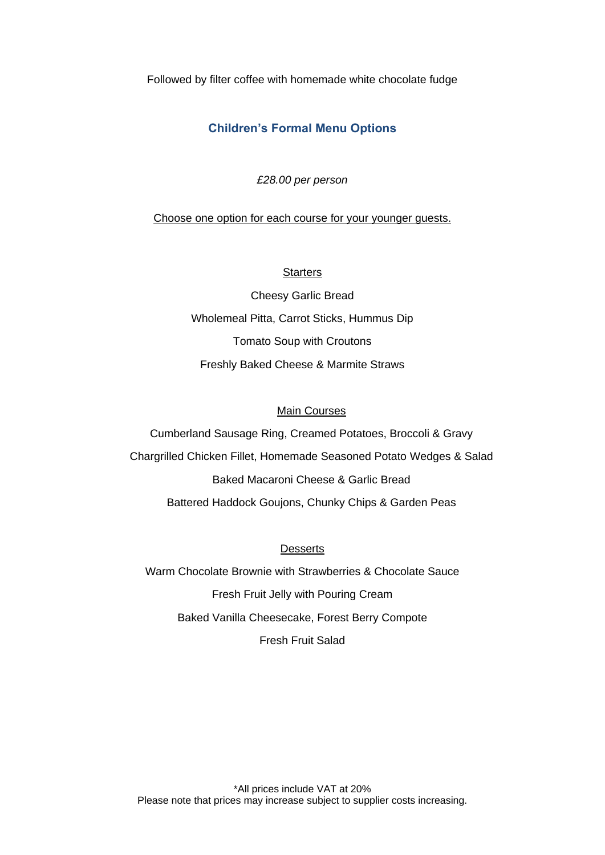Followed by filter coffee with homemade white chocolate fudge

# **Children's Formal Menu Options**

*£28.00 per person*

Choose one option for each course for your younger guests.

## **Starters**

Cheesy Garlic Bread Wholemeal Pitta, Carrot Sticks, Hummus Dip Tomato Soup with Croutons Freshly Baked Cheese & Marmite Straws

### Main Courses

Cumberland Sausage Ring, Creamed Potatoes, Broccoli & Gravy Chargrilled Chicken Fillet, Homemade Seasoned Potato Wedges & Salad Baked Macaroni Cheese & Garlic Bread Battered Haddock Goujons, Chunky Chips & Garden Peas

## **Desserts**

Warm Chocolate Brownie with Strawberries & Chocolate Sauce Fresh Fruit Jelly with Pouring Cream Baked Vanilla Cheesecake, Forest Berry Compote Fresh Fruit Salad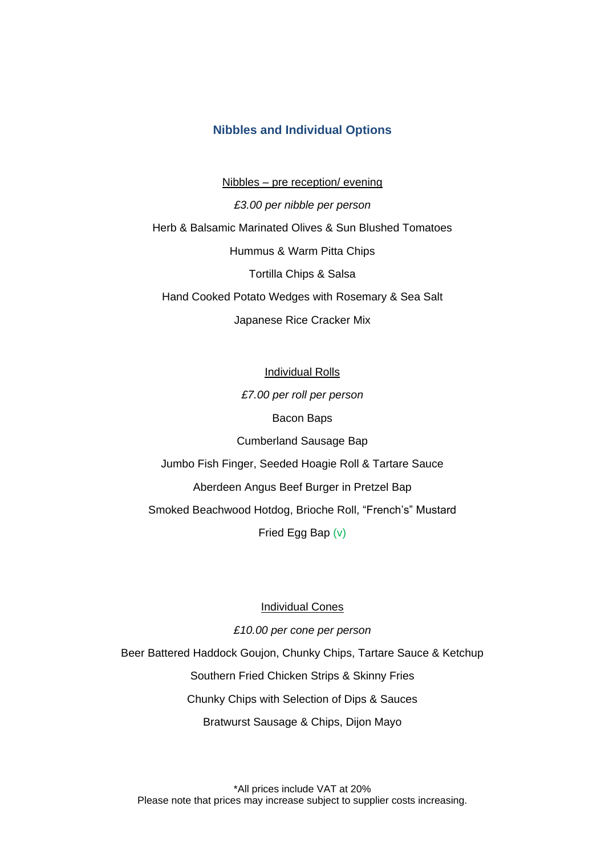## **Nibbles and Individual Options**

Nibbles – pre reception/ evening

*£3.00 per nibble per person* Herb & Balsamic Marinated Olives & Sun Blushed Tomatoes Hummus & Warm Pitta Chips Tortilla Chips & Salsa Hand Cooked Potato Wedges with Rosemary & Sea Salt Japanese Rice Cracker Mix

Individual Rolls *£7.00 per roll per person* Bacon Baps Cumberland Sausage Bap Jumbo Fish Finger, Seeded Hoagie Roll & Tartare Sauce Aberdeen Angus Beef Burger in Pretzel Bap Smoked Beachwood Hotdog, Brioche Roll, "French's" Mustard Fried Egg Bap (v)

Individual Cones

*£10.00 per cone per person*

Beer Battered Haddock Goujon, Chunky Chips, Tartare Sauce & Ketchup Southern Fried Chicken Strips & Skinny Fries Chunky Chips with Selection of Dips & Sauces Bratwurst Sausage & Chips, Dijon Mayo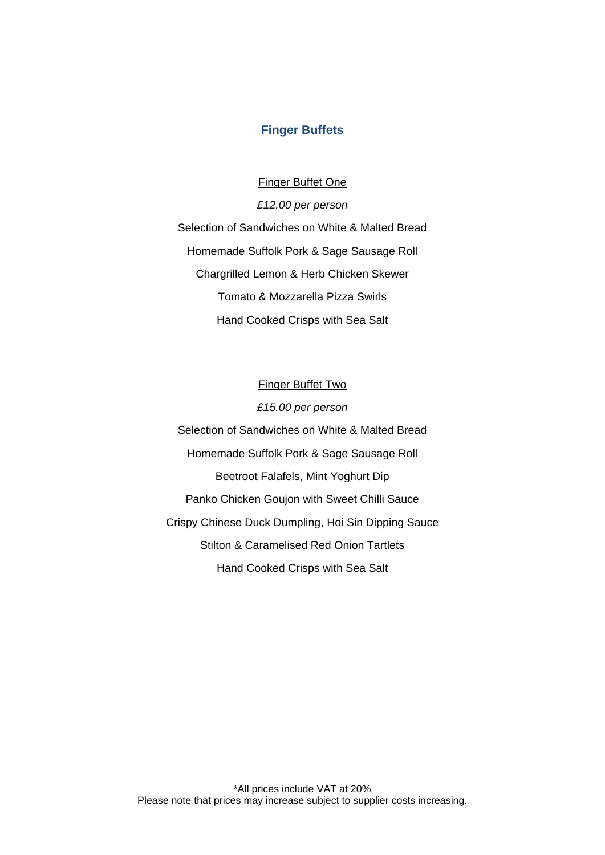## **Finger Buffets**

Finger Buffet One

*£12.00 per person* Selection of Sandwiches on White & Malted Bread Homemade Suffolk Pork & Sage Sausage Roll Chargrilled Lemon & Herb Chicken Skewer Tomato & Mozzarella Pizza Swirls Hand Cooked Crisps with Sea Salt

Finger Buffet Two *£15.00 per person* Selection of Sandwiches on White & Malted Bread Homemade Suffolk Pork & Sage Sausage Roll Beetroot Falafels, Mint Yoghurt Dip Panko Chicken Goujon with Sweet Chilli Sauce Crispy Chinese Duck Dumpling, Hoi Sin Dipping Sauce Stilton & Caramelised Red Onion Tartlets Hand Cooked Crisps with Sea Salt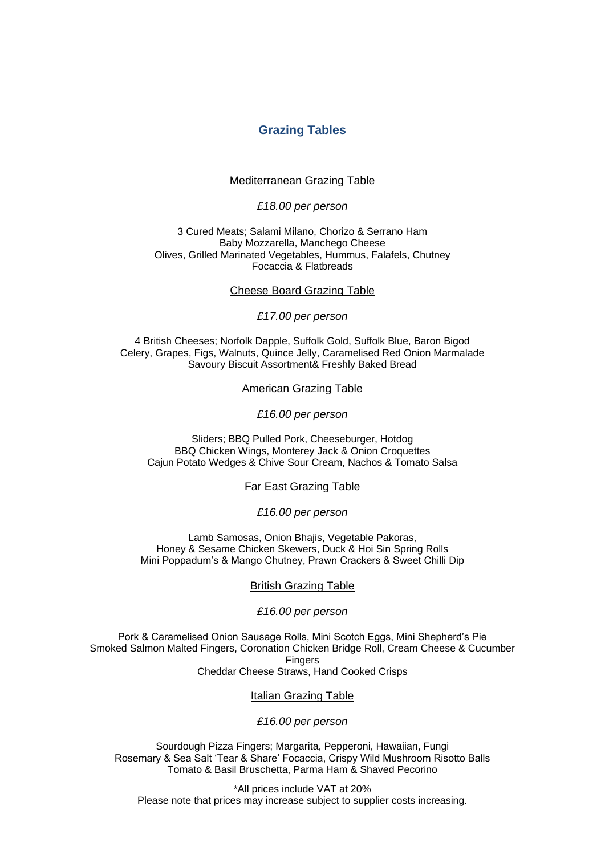## **Grazing Tables**

#### Mediterranean Grazing Table

### *£18.00 per person*

3 Cured Meats; Salami Milano, Chorizo & Serrano Ham Baby Mozzarella, Manchego Cheese Olives, Grilled Marinated Vegetables, Hummus, Falafels, Chutney Focaccia & Flatbreads

#### Cheese Board Grazing Table

*£17.00 per person*

4 British Cheeses; Norfolk Dapple, Suffolk Gold, Suffolk Blue, Baron Bigod Celery, Grapes, Figs, Walnuts, Quince Jelly, Caramelised Red Onion Marmalade Savoury Biscuit Assortment& Freshly Baked Bread

American Grazing Table

*£16.00 per person*

Sliders; BBQ Pulled Pork, Cheeseburger, Hotdog BBQ Chicken Wings, Monterey Jack & Onion Croquettes Cajun Potato Wedges & Chive Sour Cream, Nachos & Tomato Salsa

Far East Grazing Table

*£16.00 per person*

Lamb Samosas, Onion Bhajis, Vegetable Pakoras, Honey & Sesame Chicken Skewers, Duck & Hoi Sin Spring Rolls Mini Poppadum's & Mango Chutney, Prawn Crackers & Sweet Chilli Dip

#### British Grazing Table

#### *£16.00 per person*

Pork & Caramelised Onion Sausage Rolls, Mini Scotch Eggs, Mini Shepherd's Pie Smoked Salmon Malted Fingers, Coronation Chicken Bridge Roll, Cream Cheese & Cucumber Fingers Cheddar Cheese Straws, Hand Cooked Crisps

### Italian Grazing Table

### *£16.00 per person*

Sourdough Pizza Fingers; Margarita, Pepperoni, Hawaiian, Fungi Rosemary & Sea Salt 'Tear & Share' Focaccia, Crispy Wild Mushroom Risotto Balls Tomato & Basil Bruschetta, Parma Ham & Shaved Pecorino

\*All prices include VAT at 20% Please note that prices may increase subject to supplier costs increasing.